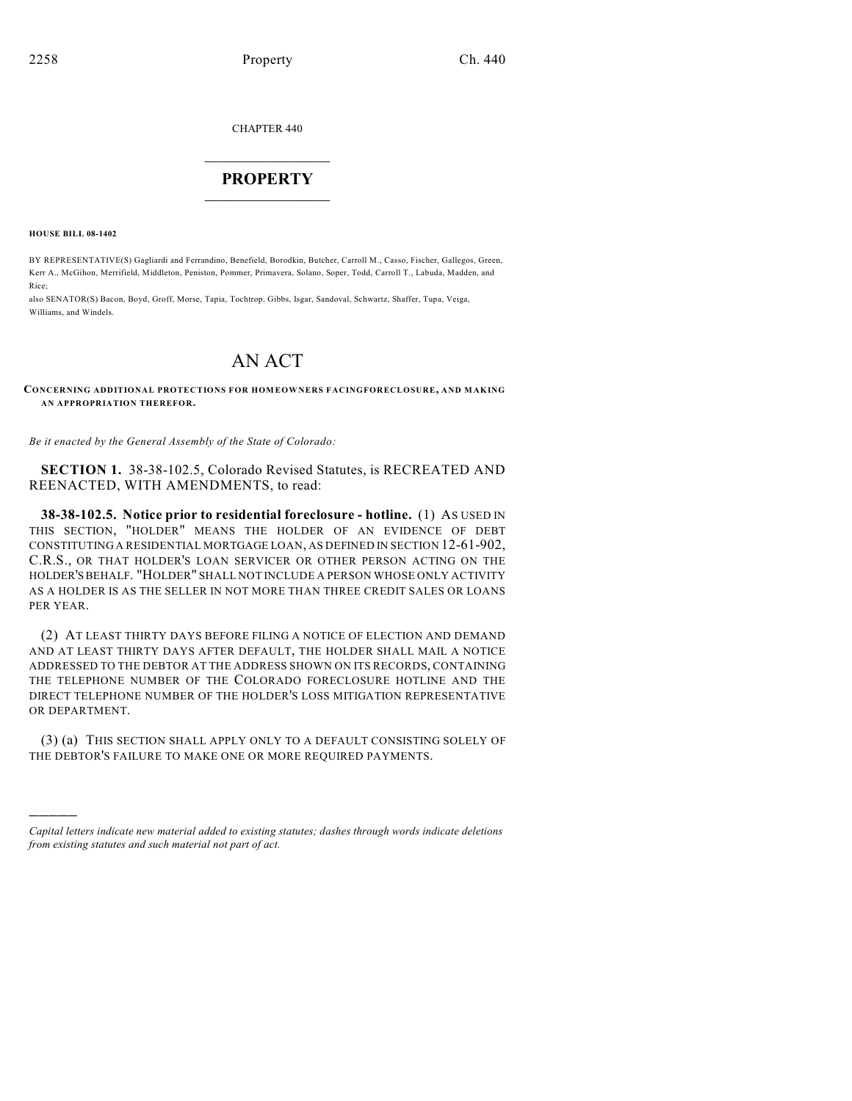CHAPTER 440

## $\mathcal{L}_\text{max}$  . The set of the set of the set of the set of the set of the set of the set of the set of the set of the set of the set of the set of the set of the set of the set of the set of the set of the set of the set **PROPERTY**  $\_$   $\_$   $\_$   $\_$   $\_$   $\_$   $\_$   $\_$   $\_$

**HOUSE BILL 08-1402**

)))))

BY REPRESENTATIVE(S) Gagliardi and Ferrandino, Benefield, Borodkin, Butcher, Carroll M., Casso, Fischer, Gallegos, Green, Kerr A., McGihon, Merrifield, Middleton, Peniston, Pommer, Primavera, Solano, Soper, Todd, Carroll T., Labuda, Madden, and Rice;

also SENATOR(S) Bacon, Boyd, Groff, Morse, Tapia, Tochtrop, Gibbs, Isgar, Sandoval, Schwartz, Shaffer, Tupa, Veiga, Williams, and Windels.

## AN ACT

**CONCERNING ADDITIONAL PROTECTIONS FOR HOMEOWNERS FACINGFORECLOSURE, AND MAKING AN APPROPRIATION THEREFOR.**

*Be it enacted by the General Assembly of the State of Colorado:*

**SECTION 1.** 38-38-102.5, Colorado Revised Statutes, is RECREATED AND REENACTED, WITH AMENDMENTS, to read:

**38-38-102.5. Notice prior to residential foreclosure - hotline.** (1) AS USED IN THIS SECTION, "HOLDER" MEANS THE HOLDER OF AN EVIDENCE OF DEBT CONSTITUTING A RESIDENTIAL MORTGAGE LOAN, AS DEFINED IN SECTION 12-61-902, C.R.S., OR THAT HOLDER'S LOAN SERVICER OR OTHER PERSON ACTING ON THE HOLDER'S BEHALF. "HOLDER" SHALL NOT INCLUDE A PERSON WHOSE ONLY ACTIVITY AS A HOLDER IS AS THE SELLER IN NOT MORE THAN THREE CREDIT SALES OR LOANS PER YEAR.

(2) AT LEAST THIRTY DAYS BEFORE FILING A NOTICE OF ELECTION AND DEMAND AND AT LEAST THIRTY DAYS AFTER DEFAULT, THE HOLDER SHALL MAIL A NOTICE ADDRESSED TO THE DEBTOR AT THE ADDRESS SHOWN ON ITS RECORDS, CONTAINING THE TELEPHONE NUMBER OF THE COLORADO FORECLOSURE HOTLINE AND THE DIRECT TELEPHONE NUMBER OF THE HOLDER'S LOSS MITIGATION REPRESENTATIVE OR DEPARTMENT.

(3) (a) THIS SECTION SHALL APPLY ONLY TO A DEFAULT CONSISTING SOLELY OF THE DEBTOR'S FAILURE TO MAKE ONE OR MORE REQUIRED PAYMENTS.

*Capital letters indicate new material added to existing statutes; dashes through words indicate deletions from existing statutes and such material not part of act.*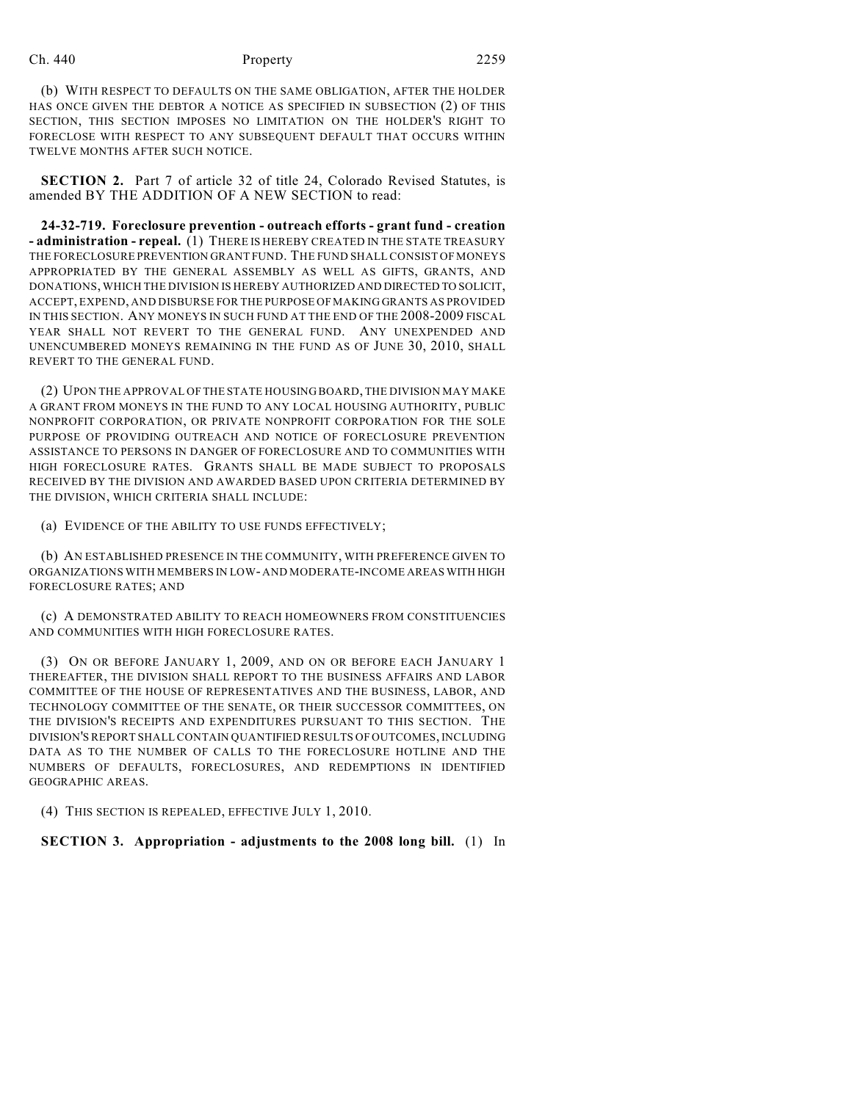## Ch. 440 **Property** 2259

(b) WITH RESPECT TO DEFAULTS ON THE SAME OBLIGATION, AFTER THE HOLDER HAS ONCE GIVEN THE DEBTOR A NOTICE AS SPECIFIED IN SUBSECTION (2) OF THIS SECTION, THIS SECTION IMPOSES NO LIMITATION ON THE HOLDER'S RIGHT TO FORECLOSE WITH RESPECT TO ANY SUBSEQUENT DEFAULT THAT OCCURS WITHIN TWELVE MONTHS AFTER SUCH NOTICE.

**SECTION 2.** Part 7 of article 32 of title 24, Colorado Revised Statutes, is amended BY THE ADDITION OF A NEW SECTION to read:

**24-32-719. Foreclosure prevention - outreach efforts - grant fund - creation - administration - repeal.** (1) THERE IS HEREBY CREATED IN THE STATE TREASURY THE FORECLOSURE PREVENTION GRANT FUND. THE FUND SHALL CONSIST OF MONEYS APPROPRIATED BY THE GENERAL ASSEMBLY AS WELL AS GIFTS, GRANTS, AND DONATIONS, WHICH THE DIVISION IS HEREBY AUTHORIZED AND DIRECTED TO SOLICIT, ACCEPT, EXPEND, AND DISBURSE FOR THE PURPOSE OF MAKING GRANTS AS PROVIDED IN THIS SECTION. ANY MONEYS IN SUCH FUND AT THE END OF THE 2008-2009 FISCAL YEAR SHALL NOT REVERT TO THE GENERAL FUND. ANY UNEXPENDED AND UNENCUMBERED MONEYS REMAINING IN THE FUND AS OF JUNE 30, 2010, SHALL REVERT TO THE GENERAL FUND.

(2) UPON THE APPROVAL OF THE STATE HOUSING BOARD, THE DIVISION MAY MAKE A GRANT FROM MONEYS IN THE FUND TO ANY LOCAL HOUSING AUTHORITY, PUBLIC NONPROFIT CORPORATION, OR PRIVATE NONPROFIT CORPORATION FOR THE SOLE PURPOSE OF PROVIDING OUTREACH AND NOTICE OF FORECLOSURE PREVENTION ASSISTANCE TO PERSONS IN DANGER OF FORECLOSURE AND TO COMMUNITIES WITH HIGH FORECLOSURE RATES. GRANTS SHALL BE MADE SUBJECT TO PROPOSALS RECEIVED BY THE DIVISION AND AWARDED BASED UPON CRITERIA DETERMINED BY THE DIVISION, WHICH CRITERIA SHALL INCLUDE:

(a) EVIDENCE OF THE ABILITY TO USE FUNDS EFFECTIVELY;

(b) AN ESTABLISHED PRESENCE IN THE COMMUNITY, WITH PREFERENCE GIVEN TO ORGANIZATIONS WITH MEMBERS IN LOW- AND MODERATE-INCOME AREAS WITH HIGH FORECLOSURE RATES; AND

(c) A DEMONSTRATED ABILITY TO REACH HOMEOWNERS FROM CONSTITUENCIES AND COMMUNITIES WITH HIGH FORECLOSURE RATES.

(3) ON OR BEFORE JANUARY 1, 2009, AND ON OR BEFORE EACH JANUARY 1 THEREAFTER, THE DIVISION SHALL REPORT TO THE BUSINESS AFFAIRS AND LABOR COMMITTEE OF THE HOUSE OF REPRESENTATIVES AND THE BUSINESS, LABOR, AND TECHNOLOGY COMMITTEE OF THE SENATE, OR THEIR SUCCESSOR COMMITTEES, ON THE DIVISION'S RECEIPTS AND EXPENDITURES PURSUANT TO THIS SECTION. THE DIVISION'S REPORT SHALL CONTAIN QUANTIFIED RESULTS OF OUTCOMES, INCLUDING DATA AS TO THE NUMBER OF CALLS TO THE FORECLOSURE HOTLINE AND THE NUMBERS OF DEFAULTS, FORECLOSURES, AND REDEMPTIONS IN IDENTIFIED GEOGRAPHIC AREAS.

(4) THIS SECTION IS REPEALED, EFFECTIVE JULY 1, 2010.

## **SECTION 3. Appropriation - adjustments to the 2008 long bill.** (1) In